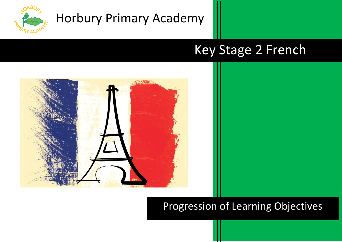

# Key Stage 2 French



## Progression of Learning Objectives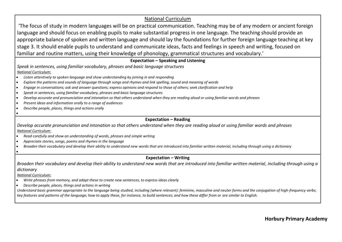### National Curriculum

'The focus of study in modern languages will be on practical communication. Teaching may be of any modern or ancient foreign language and should focus on enabling pupils to make substantial progress in one language. The teaching should provide an appropriate balance of spoken and written language and should lay the foundations for further foreign language teaching at key stage 3. It should enable pupils to understand and communicate ideas, facts and feelings in speech and writing, focused on familiar and routine matters, using their knowledge of phonology, grammatical structures and vocabulary.'

#### **Expectation – Speaking and Listening**

*Speak in sentences, using familiar vocabulary, phrases and basic language structures National Curriculum:*

- *Listen attentively to spoken language and show understanding by joining in and responding*
- *Explore the patterns and sounds of language through songs and rhymes and link spelling, sound and meaning of words*
- *Engage in conversations; ask and answer questions; express opinions and respond to those of others; seek clarification and help*
- *Speak in sentences, using familiar vocabulary, phrases and basic language structures*
- *Develop accurate and pronunciation and intonation so that others understand when they are reading aloud or using familiar words and phrases*
- *Present ideas and information orally to a range of audiences*
- *Describe people, places, things and actions orally*

### **Expectation – Reading**

*Develop accurate pronunciation and intonation so that others understand when they are reading aloud or using familiar words and phrases National Curriculum:*

- *Read carefully and show an understanding of words, phrases and simple writing*
- *Appreciate stories, songs, poems and rhymes in the language*
- *Broaden their vocabulary and develop their ability to understand new words that are introduced into familiar written material, including through using a dictionary*
- •

•

#### **Expectation – Writing**

*Broaden their vocabulary and develop their ability to understand new words that are introduced into familiar written material, including through using a dictionary*

*National Curriculum:* 

- *Write phrases from memory, and adapt these to create new sentences, to express ideas clearly*
- *Describe people, places, things and actions in writing*

*Understand basic grammar appropriate to the language being studied, including (where relevant): feminine, masculine and neuter forms and the conjugation of high-frequency verbs; key features and patterns of the language; how to apply these, for instance, to build sentences; and how these differ from or are similar to English.*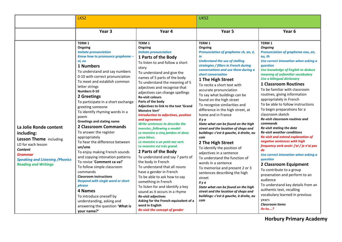|                                                                                                                                                                                             | LKS <sub>2</sub>                                                                                                                                                                                                                                                                                                                                                                                                                                                                                                                                                                                                                                                                                                                                                                                                                                                                        |                                                                                                                                                                                                                                                                                                                                                                                                                                                                                                                                                                                                                                                                                                                                                                                                                                                                                                                                                                                                                                                                  | UKS2                                                                                                                                                                                                                                                                                                                                                                                                                                                                                                                                                                                                                                                                                                                                                                                                                                                                                                                                                              |                                                                                                                                                                                                                                                                                                                                                                                                                                                                                                                                                                                                                                                                                                                                                                                                                                                                                                                                                                                                                                      |
|---------------------------------------------------------------------------------------------------------------------------------------------------------------------------------------------|-----------------------------------------------------------------------------------------------------------------------------------------------------------------------------------------------------------------------------------------------------------------------------------------------------------------------------------------------------------------------------------------------------------------------------------------------------------------------------------------------------------------------------------------------------------------------------------------------------------------------------------------------------------------------------------------------------------------------------------------------------------------------------------------------------------------------------------------------------------------------------------------|------------------------------------------------------------------------------------------------------------------------------------------------------------------------------------------------------------------------------------------------------------------------------------------------------------------------------------------------------------------------------------------------------------------------------------------------------------------------------------------------------------------------------------------------------------------------------------------------------------------------------------------------------------------------------------------------------------------------------------------------------------------------------------------------------------------------------------------------------------------------------------------------------------------------------------------------------------------------------------------------------------------------------------------------------------------|-------------------------------------------------------------------------------------------------------------------------------------------------------------------------------------------------------------------------------------------------------------------------------------------------------------------------------------------------------------------------------------------------------------------------------------------------------------------------------------------------------------------------------------------------------------------------------------------------------------------------------------------------------------------------------------------------------------------------------------------------------------------------------------------------------------------------------------------------------------------------------------------------------------------------------------------------------------------|--------------------------------------------------------------------------------------------------------------------------------------------------------------------------------------------------------------------------------------------------------------------------------------------------------------------------------------------------------------------------------------------------------------------------------------------------------------------------------------------------------------------------------------------------------------------------------------------------------------------------------------------------------------------------------------------------------------------------------------------------------------------------------------------------------------------------------------------------------------------------------------------------------------------------------------------------------------------------------------------------------------------------------------|
|                                                                                                                                                                                             | Year <sub>3</sub>                                                                                                                                                                                                                                                                                                                                                                                                                                                                                                                                                                                                                                                                                                                                                                                                                                                                       | Year 4                                                                                                                                                                                                                                                                                                                                                                                                                                                                                                                                                                                                                                                                                                                                                                                                                                                                                                                                                                                                                                                           | Year 5                                                                                                                                                                                                                                                                                                                                                                                                                                                                                                                                                                                                                                                                                                                                                                                                                                                                                                                                                            | Year <sub>6</sub>                                                                                                                                                                                                                                                                                                                                                                                                                                                                                                                                                                                                                                                                                                                                                                                                                                                                                                                                                                                                                    |
| La Jolie Ronde content<br>including:<br>Lesson Theme including<br>LO for each lesson<br>Content<br><b>Grammar</b><br><b>Speaking and Listening / Phonics</b><br><b>Reading and Writings</b> | <b>TERM1</b><br>Ongoing<br><b>Imitate pronunciation</b><br>Know how to pronounce grapheme -<br>oi, eu<br>1 Numbers<br>To understand and say numbers<br>0-10 with correct pronunciation<br>To meet and establish common<br>letter strings<br>Numbers 0-10<br>2 Greetings<br>To participate in a short exchange<br>greeting someone<br>To identify rhyming words in a<br>poem<br><b>Greetings and stating name</b><br>2 Classroom Commands<br>To answer the register<br>appropriately<br>To hear the difference between<br>un/une<br>To enjoy making French sounds<br>and copying intonation patterns<br>To revise 'Comment ca va!'<br>To follow simple classroom<br>commands<br><b>Classroom instructions</b><br><b>Respond with single word or short</b><br>phrase<br>4 Names<br>To introduce oneself by<br>understanding, asking and<br>answering the question 'What is<br>your name?' | TERM <sub>1</sub><br>Ongoing<br><b>Imitate pronunciation</b><br>1 Parts of the Body<br>To listen to and follow a short<br>story<br>To understand and give the<br>names of 5 parts of the body<br>To understand the meaning of 5<br>adjectives and recognise that<br>adjectives can change spellings<br><b>Re-visit colours</b><br>Parts of the body<br>Adjectives to link to the text 'Grand<br>Monstre Vert'<br><b>Introduction to adjectives, position</b><br>and agreement<br>Write sentences to describe the<br>monster, following a model:<br>Le monstre a cinq jambes et deux<br>veux bleus.<br>Le monstre a un petit nez vert.<br>Le monstre est très grand.<br>2 Parts of the Body<br>To understand and say 7 parts of<br>the body in French<br>To understand that all nouns<br>have a gender in French<br>To be able to ask how to say<br>something in French<br>To listen for and identify a key<br>sound as it occurs in a rhyme<br>Re-visit adjectives<br>Asking for the French equivalent of a<br>word in English<br>Re-visit the concept of gender | TERM 1<br>Ongoing<br>Pronunciation of grapheme ch, an, é,<br>in<br><b>Understand the use of stalling</b><br>strategies / fillers in French during<br>conversations and use them during a<br>short conversation<br>1 The High Street<br>To recite a short text with<br>accurate pronunciation<br>To say what buildings can be<br>found on the high street<br>To recognise similarities and<br>difference in the high street, at<br>home and in France<br>Il y a<br>State what can be found on the high<br>street and the location of shops and<br>buildings: c'est à gauche, à droite, au<br>coin<br>2 The High Street<br>To identify the position of<br>adjectives in a sentence<br>To understand the function of<br>words in a sentence<br>To memorise and present 2 or 3<br>sentences describing the high<br>street<br>Il y a<br>State what can be found on the high<br>street and the location of shops and<br>buildings: c'est à gauche, à droite, au<br>coin | TERM 1<br><b>Ongoing</b><br>Pronunciation of grapheme eau, an,<br>au, th<br>Use correct intonation when asking a<br>question<br>Use knowledge of English to deduce<br>meaning of unfamiliar vocabulary<br>Use a bilingual dictionary<br><b>1 Classroom Routines</b><br>To be familiar with classroom<br>routines, giving information<br>appropriately in French<br>To be able to follow instructions<br>To begin preparations for a<br>classroom sketch<br>Re-visit classroom routines and<br>commands<br>Re-visit stating the date<br><b>Re-visit weather conditions</b><br><b>Re-visit and extend explanation of</b><br>negative sentences with high<br>frequency verb avoir: j'ai / je n'ai pas<br>de<br>Use correct intonation when asking a<br><i><u><b>auestion</b></u></i><br>2 Classroom Equipment<br>To contribute to a group<br>presenation and perform to an<br>audience<br>To understand key details from an<br>authentic text, recalling<br>vocabulary learned in previous<br>years<br><b>Classroom items</b><br>As-tu? |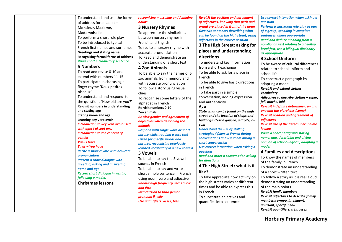| To understand and use the forms                     | recognising masculine and feminine<br>nouns        | <b>Re-visit the position and agreement</b><br>of adjectives, knowing that petit and |
|-----------------------------------------------------|----------------------------------------------------|-------------------------------------------------------------------------------------|
| of address for an adult -                           |                                                    | grand are placed in front of the noun                                               |
| Monsieur, Madame,                                   | <b>3 Nursery Rhymes</b>                            | <b>Give two sentences describing what</b>                                           |
| <b>Mademoiselle</b>                                 | To appreciate the similarities                     | can be found on the high street, using                                              |
| To perform a short role play                        | between nursery rhymes in                          | adjectives in the correct position                                                  |
| To be introduced to typical                         | French and English                                 | 3 The High Street: asking for                                                       |
| French first names and surnames                     | To recite a nursery rhyme with                     |                                                                                     |
| <b>Greetings and stating name</b>                   | accurate pronunciation                             | places and understanding                                                            |
| <b>Recognising formal forms of address</b>          | To Read and demonstrate an                         | directions                                                                          |
| <b>Write short introductory sentence</b>            | understanding of a short text                      | To understand key information                                                       |
| <b>5 Numbers</b>                                    | <b>4 Zoo Animals</b>                               | from a short exchange                                                               |
| To read and revise 0-10 and                         | To be able to say the names of 6                   | To be able to ask for a place in                                                    |
| extend with numbers 11-15                           | zoo animals from memory and                        | French                                                                              |
| To participate in chorusing a                       | with accurate pronunciation                        | To be able to give basic directions                                                 |
| finger rhyme 'Deux petites                          | To follow a story using visual                     | in French                                                                           |
| oiseaux'                                            | clues                                              | To take part in a simple                                                            |
| To understand and respond to                        |                                                    | conversation, adding expression                                                     |
| the questions 'How old are you?'                    | To recognise some letters of the                   | and authenticity                                                                    |
| Re-visit numbers in understanding                   | alphabet in French<br><b>Re-visit numbers 0-10</b> | Il y a                                                                              |
| and stating age                                     | Zoo animals                                        | State what can be found on the high                                                 |
| <b>Stating name and age</b>                         | Re-visit gender and agreement of                   | street and the location of shops and                                                |
| Learning key verb avoir                             | adjectives when describing zoo                     | buildings: c'est à gauche, à droite, au                                             |
| Introduction to key verb avoir used                 | animals                                            | coin                                                                                |
| with age: J'ai sept ans.                            | <b>Respond with single word or short</b>           | <b>Understand the use of stalling</b>                                               |
| Introduction to the concept of                      | phrase whilst reading a core text                  | strategies / fillers in French during                                               |
| gender                                              | <b>Listen for specific words and</b>               | conversations and use them during a                                                 |
| $J'ai - I have$                                     | phrases, recognising previously                    | short conversation                                                                  |
| Tu as – You have                                    | learned vocabulary in a new context                | Use correct intonation when asking a                                                |
| Recite a short rhyme with accurate<br>pronunciation | 5 Vowels                                           | <i><u><b>auestion</b></u></i>                                                       |
| <b>Present a short dialogue with</b>                | To be able to say the 5 vowel                      | <b>Read and order a conversation asking</b>                                         |
| greeting, asking and answering                      | sounds in French                                   | for directions                                                                      |
| name and age                                        | To be able to say and write a                      | 4 The High Street: what is it                                                       |
| <b>Record short dialogue in writing</b>             | short simple sentence in French                    | like?                                                                               |
| following a model.                                  | using noun, verb and adjective                     | To take appreciate how activity on                                                  |
| <b>Christmas lessons</b>                            | Re-visit high frequency verbs avoir                | the high street varies at different                                                 |
|                                                     | and être                                           | times and be able to express this                                                   |
|                                                     | <b>Introduction to third person</b>                | in French                                                                           |
|                                                     | pronoun: il, elle                                  | To substitute adjectives and                                                        |
|                                                     | Use quantifiers: assez, très                       | quantifies into sentences                                                           |
|                                                     |                                                    |                                                                                     |
|                                                     |                                                    |                                                                                     |

*Use correct intonation when asking a question*

*Perform a classroom role play as part of a group, speaking in complete sentences where appropriate Read and deduce meaning from a non-fiction text relating to a healthy breakfast; use a bilingual dictionary as appropriate*

#### **3 School Uniform**

To be aware of cultural differences related to school uniform and school life To construct a paragraph by adapting a model *Re-visit and extend clothes vocabulary Adjectives to describe clothes – super, joli, moche, laid Re-visit indefinite determiner: un and une and the plural des (some) Re-visit position and agreement of adjectives Re-visit use of the determiner: J'aime le bleu Write a short paragraph stating name, age, describing and giving opinion of school uniform, adapting a model* **4 Families and descriptions** To know the names of members of the family in French To demonstrate an understanding of a short written text To follow a story as it is real aloud demonstrating an understanding of the main points *Re-visit family members Re-visit adjectives to describe family members: sympa, intelligent, amusant, sportif, beau Re-visit quantifiers: très, assez*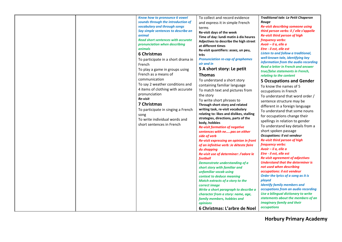| Know how to pronounce 6 vowel                                                                                                                                                                                                                                                                                                                                                                                                                                                                                                                                                          | To collect and record evidence                                                                                                                                                                                                                                                                                                                                                                                                                                                                                                                                                                                                                                                                                                                                                                                                                                                                                                                                                                                                                                                                                                                 | <b>Traditional tale: Le Petit Chaperon</b>                                                                                                                                                                                                                                                                                                                                                                                                                                                                                                                                                                                                                                                                                                                                                                                                                                                                                                                                                                                                                                                                                                                                                                                          |
|----------------------------------------------------------------------------------------------------------------------------------------------------------------------------------------------------------------------------------------------------------------------------------------------------------------------------------------------------------------------------------------------------------------------------------------------------------------------------------------------------------------------------------------------------------------------------------------|------------------------------------------------------------------------------------------------------------------------------------------------------------------------------------------------------------------------------------------------------------------------------------------------------------------------------------------------------------------------------------------------------------------------------------------------------------------------------------------------------------------------------------------------------------------------------------------------------------------------------------------------------------------------------------------------------------------------------------------------------------------------------------------------------------------------------------------------------------------------------------------------------------------------------------------------------------------------------------------------------------------------------------------------------------------------------------------------------------------------------------------------|-------------------------------------------------------------------------------------------------------------------------------------------------------------------------------------------------------------------------------------------------------------------------------------------------------------------------------------------------------------------------------------------------------------------------------------------------------------------------------------------------------------------------------------------------------------------------------------------------------------------------------------------------------------------------------------------------------------------------------------------------------------------------------------------------------------------------------------------------------------------------------------------------------------------------------------------------------------------------------------------------------------------------------------------------------------------------------------------------------------------------------------------------------------------------------------------------------------------------------------|
| sounds through the introduction of<br>vocabulary and through songs<br>Say simple sentences to describe an<br>animal<br><b>Read short sentences with accurate</b><br>pronunciation when describing<br>animals<br>6 Christmas<br>To participate in a short drama in<br>French<br>To play a game in groups using<br>French as a means of<br>communication<br>To say 2 weather conditions and<br>4 items of clothing with accurate<br>pronunciation<br>Re-visit<br>7 Christmas<br>To participate in singing a French<br>song<br>To write individual words and<br>short sentences in French | and express it in simple French<br>terms<br>Re-visit days of the week<br>Time of day: lundi matin à dix heures<br>Adjectives to describe the high street<br>at different times<br>Re-visit quantifiers: assez, un peu,<br>très<br><b>Pronunciation re-cap of graphemes</b><br>oir and in<br>5 A short story: Le petit<br><b>Thomas</b><br>To understand a short story<br>containing familiar language<br>To match text and pictures from<br>the story<br>To write short phrases to<br>Through short story and related<br>writing task, re-visit vocabulary<br>relating to: likes and dislikes, stalling<br>strategies, directions, parts of the<br>body, hobbies<br><b>Re-visit formation of negative</b><br>sentences with nepas on either<br>side of verb<br>Re-visit expressing an opinion in front<br>of an infinitive verb: Je déteste faire<br>du shopping<br>Re-visit use of determiner: J'adore le<br>football<br>Demonstrate understanding of a<br>short story with familiar and<br>unfamiliar vocab using<br>context to deduce meaning<br>Match extracts of a story to the<br>correct image<br>Write a short paragraph to describe a | Rouge<br><b>Re-visit describing someone using</b><br>third person verbs: il / elle s'appelle<br><b>Re-visit third person of high</b><br>frequency verbs:<br>Avoir $-$ il a, elle a<br>Etre - il est, elle est<br>Listen to and follow a traditional,<br>well-known tale, identifying key<br>information from the audio recording<br>Read a letter in French and answer<br>true/false statements in French,<br>relating to the content<br><b>5 Occupations and Gender</b><br>To know the names of 5<br>occupations in French<br>To understand that word order /<br>sentence structure may be<br>different in a foreign language<br>To understand that some nouns<br>for occupations change their<br>spellings in relation to gender<br>To understand key details from a<br>short spoken passage<br><b>Occupations: Il est vendeur</b><br><b>Re-visit third person of high</b><br>frequency verbs:<br>Avoir - il a, elle a<br>Etre - il est, elle est<br><b>Re-visit agreement of adjectives</b><br><b>Understand that the determiner is</b><br>not used when describing<br>occupations: il est vendeur<br>Order the lyrics of a song as it is<br>played<br><b>Identify family members and</b><br>occupations from an audio recording |
|                                                                                                                                                                                                                                                                                                                                                                                                                                                                                                                                                                                        |                                                                                                                                                                                                                                                                                                                                                                                                                                                                                                                                                                                                                                                                                                                                                                                                                                                                                                                                                                                                                                                                                                                                                |                                                                                                                                                                                                                                                                                                                                                                                                                                                                                                                                                                                                                                                                                                                                                                                                                                                                                                                                                                                                                                                                                                                                                                                                                                     |
|                                                                                                                                                                                                                                                                                                                                                                                                                                                                                                                                                                                        | character from a story: name, age,                                                                                                                                                                                                                                                                                                                                                                                                                                                                                                                                                                                                                                                                                                                                                                                                                                                                                                                                                                                                                                                                                                             | Use a bilingual dictionary to write                                                                                                                                                                                                                                                                                                                                                                                                                                                                                                                                                                                                                                                                                                                                                                                                                                                                                                                                                                                                                                                                                                                                                                                                 |
|                                                                                                                                                                                                                                                                                                                                                                                                                                                                                                                                                                                        | family members, hobbies and<br><b>opinions</b>                                                                                                                                                                                                                                                                                                                                                                                                                                                                                                                                                                                                                                                                                                                                                                                                                                                                                                                                                                                                                                                                                                 | statements about the members of an<br>imaginary family and their                                                                                                                                                                                                                                                                                                                                                                                                                                                                                                                                                                                                                                                                                                                                                                                                                                                                                                                                                                                                                                                                                                                                                                    |
|                                                                                                                                                                                                                                                                                                                                                                                                                                                                                                                                                                                        | 6 Christmas: L'arbre de Noel                                                                                                                                                                                                                                                                                                                                                                                                                                                                                                                                                                                                                                                                                                                                                                                                                                                                                                                                                                                                                                                                                                                   | occupations                                                                                                                                                                                                                                                                                                                                                                                                                                                                                                                                                                                                                                                                                                                                                                                                                                                                                                                                                                                                                                                                                                                                                                                                                         |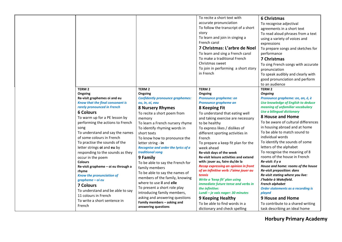|                                                                                                                                                                                                                                                                                                                                                                                                                                                                                                                                                                                                                                                |                                                                                                                                                                                                                                                                                                                                                                                                                                                                                                                                                                                                                 | To recite a short text with<br>accurate pronunciation<br>To follow the transcript of a short<br>story<br>To learn and join in singing a<br>French carol<br>7 Christmas: L'arbre de Noel<br>To learn and sing a French carol<br>To make a traditional French<br>Christmas sweet<br>To join in performing a short story<br>in French                                                                                                                                                                                                                                                                                                                                              | <b>6 Christmas</b><br>To recognise adjectival<br>agreements in a short text<br>To read aloud phrases from a text<br>using a variety of voices and<br>expressions<br>To prepare songs and sketches for<br>performance<br>7 Christmas<br>To sing French songs with accurate<br>pronunciation<br>To speak audibly and clearly with<br>good pronunciation and perform<br>to an audience                                                                                                                                                                                                                                                                                                                       |
|------------------------------------------------------------------------------------------------------------------------------------------------------------------------------------------------------------------------------------------------------------------------------------------------------------------------------------------------------------------------------------------------------------------------------------------------------------------------------------------------------------------------------------------------------------------------------------------------------------------------------------------------|-----------------------------------------------------------------------------------------------------------------------------------------------------------------------------------------------------------------------------------------------------------------------------------------------------------------------------------------------------------------------------------------------------------------------------------------------------------------------------------------------------------------------------------------------------------------------------------------------------------------|---------------------------------------------------------------------------------------------------------------------------------------------------------------------------------------------------------------------------------------------------------------------------------------------------------------------------------------------------------------------------------------------------------------------------------------------------------------------------------------------------------------------------------------------------------------------------------------------------------------------------------------------------------------------------------|-----------------------------------------------------------------------------------------------------------------------------------------------------------------------------------------------------------------------------------------------------------------------------------------------------------------------------------------------------------------------------------------------------------------------------------------------------------------------------------------------------------------------------------------------------------------------------------------------------------------------------------------------------------------------------------------------------------|
| TERM <sub>2</sub>                                                                                                                                                                                                                                                                                                                                                                                                                                                                                                                                                                                                                              | TERM <sub>2</sub>                                                                                                                                                                                                                                                                                                                                                                                                                                                                                                                                                                                               | <b>TERM 2</b>                                                                                                                                                                                                                                                                                                                                                                                                                                                                                                                                                                                                                                                                   | TERM <sub>2</sub>                                                                                                                                                                                                                                                                                                                                                                                                                                                                                                                                                                                                                                                                                         |
| Ongoing<br>Re-visit graphemes oi and eu<br>Know that the final consonant is<br>rarely pronounced in French<br><b>6 Colours</b><br>To warm up for a PE lesson by<br>performing the actions to French<br>song<br>To understand and say the names<br>of some colours in French<br>To practise the sounds of the<br>letter strings oi and eu by<br>responding to the sounds as they<br>occur in the poem<br><b>Colours</b><br>Re-visit grapheme - oi eu through a<br>rhyme<br><b>Know the pronunciation of</b><br>grapheme - oi eu<br><b>7 Colours</b><br>To understand and be able to say<br>11 colours in French<br>To write a short sentence in | Ongoing<br><b>Confidently pronounce graphemes:</b><br>ou, in, oi, eau<br><b>8 Nursery Rhymes</b><br>To recite a short poem from<br>memory<br>To learn a French nursery rhyme<br>To identify rhyming words in<br>short texts<br>To know how to pronounce the<br>letter string - in<br>Recognise and order the lyrics of a<br>traditional song<br>9 Family<br>To be able to say the French for<br>family members<br>To be able to say the names of<br>members of the family, knowing<br>where to use il and elle<br>To present a short role play<br>introducing family members,<br>asking and answering questions | Ongoing<br><b>Pronounce grapheme: on</b><br>Pronounce grapheme an<br>8 Keeping Fit<br>To understand that eating well<br>and taking exercise are necessary<br>to be healthy<br>To express likes / dislikes of<br>different sporting activities in<br>French<br>To prepare a keep fit plan for the<br>week ahead<br>Re-visit days of the week<br>Re-visit leisure activities and extend<br>with: jouer au, faire du/de la<br><b>Recap expressing an opinion in front</b><br>of an infinitive verb: J'aime jouer au<br>tennis<br>Write a 'keep fit' plan using<br>immediate future tense and verbs in<br>the infinitive:<br>Lundi - je vais nager: 30 minutes<br>9 Keeping Healthy | <b>Ongoing</b><br>Pronounce grapheme: on, an, é, è<br>Use knowledge of English to deduce<br>meaning of unfamiliar vocabulary<br>Use a bilingual dictionary<br><b>8 House and Home</b><br>To be aware of cultural differences<br>in housing abroad and at home<br>To be able to match sound to<br>individual words<br>To identify the sounds of some<br>letters of the alphabet<br>To recognise the meaning of 8<br>rooms of the house in French<br>Re-visit: il y a<br>House and home: rooms of the house<br>Re-visit preposition: dans<br>Re-visit stating where you live:<br>J'habite à Wakefield.<br><b>French alphabet</b><br>Order statements as a recording is<br>played<br><b>9 House and Home</b> |
| French                                                                                                                                                                                                                                                                                                                                                                                                                                                                                                                                                                                                                                         | Family members - asking and<br>answering questions                                                                                                                                                                                                                                                                                                                                                                                                                                                                                                                                                              | To be able to find words in a<br>dictionary and check spelling                                                                                                                                                                                                                                                                                                                                                                                                                                                                                                                                                                                                                  | To contribute to a shared writing<br>task describing an ideal home                                                                                                                                                                                                                                                                                                                                                                                                                                                                                                                                                                                                                                        |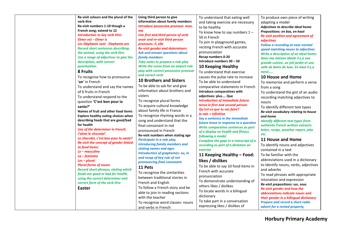| Re-visit colours and the plural of the                  | Using third person to give                                            | To understand that eating well                                                | To produce own piece of writing                                             |
|---------------------------------------------------------|-----------------------------------------------------------------------|-------------------------------------------------------------------------------|-----------------------------------------------------------------------------|
| verb être                                               | information about family members                                      | and taking exercise are necessary                                             | adapting a model                                                            |
| Re-visit numbers 1-10 though a                          | Introduce possessive pronoun: mon,                                    | to be healthy                                                                 | Adjectives to describe ideal home                                           |
| French song; extend to 12                               | ma                                                                    | To know how to say numbers $1 -$                                              | Prepositions: en bas, en haut                                               |
| Introduction to key verb être:<br>Elmer est - Elmer is  | Use first and third person of verb<br>avoir and re-visit third person | 50 in French                                                                  | <b>Re-visit position and agreement of</b>                                   |
| Les éléphants sont - Elephants are                      | pronouns: il, elle                                                    | To join in playground games,                                                  | adjectives                                                                  |
| <b>Record short sentences describing</b>                | <b>Re-visit gender and determiners</b>                                | reciting French with accurate                                                 | <b>Follow a recording at near normal</b>                                    |
| the animal, using the verb être                         | Ask and answer questions about                                        | pronunciation                                                                 | speed matching nouns to adjectives<br>Write a description of an ideal home: |
| Use a range of adjectives to give the                   | family members                                                        | Recap numbers 0-20                                                            | Dans ma maison idéale il y a une                                            |
| description, with correct                               | Take notes to prepare a role play                                     | Introduce numbers 30 - 50                                                     | grande cuisine, un joli jardin et une                                       |
| punctuation.                                            | Write the scene from an airport role                                  | 10 Keeping Healthy                                                            | salle de bains de luxe. En haut il y a                                      |
| 8 Fruits                                                | play with correct possessive pronoun                                  | To understand that exercise                                                   | aussi                                                                       |
| To recognise how to pronounce                           | and correct verb                                                      | causes the pulse rate to increase                                             | 10 House and Home                                                           |
| 'on' in French                                          | <b>10 Brothers and Sisters</b>                                        | To be able to understand                                                      | To memorise and perform a verse                                             |
| To understand and say the names                         | To be able to ask for and give                                        | comparative statements in French                                              | from a song                                                                 |
| of 6 fruits in French                                   | information about brothers and                                        | Introduce comparatives with                                                   | To understand the gist of an audio                                          |
| To understand respond to the                            | sisters                                                               | adjectives: plus Que                                                          | recording matching adjectives to                                            |
| question 'C'est bon pour la                             | To recognise plural forms                                             | <b>Introduction of immediate future</b>                                       | nouns                                                                       |
| sante?'                                                 | To acquire cultural knowledge                                         | tense in first and second person:                                             | To identify different text types                                            |
| Names of fruit and other food items                     | about family life in France                                           | Qu'est-ce que tu vas faire?                                                   | Re-visit vocabulary relating to house                                       |
| Explore healthy eating choices when                     | To recognise rhyming words in a                                       | je vais + infinitive                                                          | and home                                                                    |
| describing foods that are good/bad                      | song and understand that the                                          | Say a sentence in the immediate                                               | <b>Identify different text types from</b>                                   |
| for health                                              | final consonant in not                                                | future tense in response to a question<br>Write comparative sentences as part | authentic French written extracts:                                          |
| Use of the determiner in French:                        | pronounced in French                                                  | of a display on health and fitness                                            | letter, recipe, weather report, joke                                        |
| J'aime le chocolat'.                                    | Re-visit numbers when stating age                                     | following a model                                                             | etc.                                                                        |
| Le chocolat, c'est bon pour la santé?                   | Participate in a role play,                                           | Complete the gaps in a transcript of a                                        | 11 House and Home                                                           |
| Re-visit the concept of gender linked<br>to food items: | introducing family members and                                        | recording as part of a dictation on                                           | To identify nouns and adjectives                                            |
| Le - masculine                                          | stating names and ages                                                | exercise                                                                      | contained in a text                                                         |
| $La - feminine$                                         | <b>Introduction of graphemes: ou, in</b>                              | 11 Keeping Healthy - Food:                                                    | To be familiar with the                                                     |
| $Les - plural$                                          | and recap of key rule of not<br>pronouncing final consonant           | likes / dislikes                                                              | abbreviations used in a dictionary                                          |
| <b>Plural forms of nouns</b>                            | 11 Pets                                                               | To be able to say 10 food items in                                            | to identify nouns, verbs, adjectives                                        |
| <b>Record short phrases, stating which</b>              |                                                                       | French with accurate                                                          | and adverbs                                                                 |
| foods are good or bad for health,                       | To recognise the similarities                                         | pronunciation                                                                 | To read phrases with appropriate                                            |
| using the correct determiner and                        | between traditional stories in                                        | To demonstrate understanding of                                               | intonation and expression                                                   |
| correct form of the verb être                           | French and English                                                    | others likes / dislikes                                                       | Re-visit prepositions: sur, sous                                            |
| Easter                                                  | To follow a French story and be                                       | To locate words in a bilingual                                                | Re-visit gender and how the                                                 |
|                                                         | able to join in reading sections                                      | dictionary                                                                    | abbreviations indicate nouns and                                            |
|                                                         | with the teacher                                                      | To take part in a conversation                                                | their gender in a bilingual dictionary                                      |
|                                                         | To recognise word classes: nouns                                      | expressing likes / dislikes of                                                | Prepare and record a short radio                                            |
|                                                         | and verbs in French                                                   |                                                                               | advert for a rented property,                                               |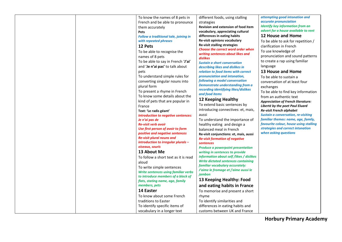| To know the names of 8 pets in        | different foods, using stalling                 | attempting good intonation and             |
|---------------------------------------|-------------------------------------------------|--------------------------------------------|
| French and be able to pronounce       | strategies                                      | accurate pronunciation                     |
| them accurately                       | Revision and extension of food item             | <b>Identify key information from an</b>    |
| Pets                                  | vocabulary, appreciating cultural               | advert for a house available to rent       |
| Follow a traditional tale, joining in | differences in eating habits                    | <b>12 House and Home</b>                   |
| with repeated phrases                 | Re-visit opinions vocabulary                    | To be able to ask for repetition /         |
| 12 Pets                               | <b>Re-visit stalling strategies</b>             | clarification in French                    |
| To be able to recognise the           | <b>Choose the correct word order when</b>       | To use knowledge of                        |
| names of 8 pets                       | writing sentences about likes and               | pronunciation and sound patterns           |
| To be able to say in French 'J'ai'    | dislikes<br><b>Sustain a short conversation</b> | to create a rap using familiar             |
| and 'Je n'ai pas' to talk about       | describing likes and dislikes in                | language                                   |
| pets                                  | relation to food items with correct             | 13 House and Home                          |
| To understand simple rules for        | pronunciation and intonation,                   | To be able to sustain a                    |
| converting singular nouns into        | following a model conversation                  | conversation of at least four              |
| plural form                           | <b>Demonstrate understanding from a</b>         | exchanges                                  |
| To present a rhyme in French          | recording identifying likes/dislikes            | To be able to find key information         |
| To know some details about the        | and food items                                  | from an authentic text                     |
| kind of pets that are popular in      | 12 Keeping Healthy                              | <b>Appreciation of French literature:</b>  |
| France                                | To extend basic sentences by                    | Liberté by the poet Paul Eluard            |
| Text: 'Le radis géant'                | introducing connectives: et, mais,              | Re-visit French alphabet                   |
| Introduction to negative sentences:   | aussi                                           | <b>Sustain a conversation, re-visiting</b> |
| Je n'ai pas de                        | To understand the importance of                 | familiar themes: name, age, family,        |
| <b>Re-visit verb avoir</b>            | healthy eating and design a                     | favourite colour, house using stalling     |
| Use first person of avoir to form     | balanced meal in French                         | strategies and correct intonation          |
| positive and negative sentences       | Re-visit conjunctions: et, mais, aussi          | when asking questions                      |
| <b>Re-visit plural nouns and</b>      | <b>Re-visit formation of negative</b>           |                                            |
| introduction to irregular plurals -   | sentences                                       |                                            |
| oiseaux, souris                       | <b>Produce a powerpoint presentation</b>        |                                            |
| 13 About Me                           | writing in sentences to provide                 |                                            |
| To follow a short text as it is read  | information about self /likes / dislikes        |                                            |
| aloud                                 | <b>Write dictated sentences containing</b>      |                                            |
| To write simple sentences             | familiar vocabulary accurately:                 |                                            |
| Write sentences using familiar verbs  | J'aime le fromage et j'aime aussi le            |                                            |
| to introduce members of a block of    | jambon                                          |                                            |
| flats, stating name, age, family      | 13 Keeping Healthy: Food                        |                                            |
| members, pets                         | and eating habits in France                     |                                            |
| 14 Easter                             | To memorise and present a short                 |                                            |
| To know about some French             | rhyme                                           |                                            |
| traditions to Easter                  | To identify similarities and                    |                                            |
| To identify specific items of         | differences in eating habits and                |                                            |
| vocabulary in a longer text           | customs between UK and France                   |                                            |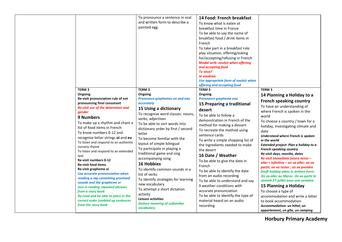|                                                                                                                                                                                                                                                                                                                                                                                                                                                                                                                                                                                                                                         | To pronounce a sentence in oral<br>and written form to describe a<br>painted egg                                                                                                                                                                                                                                                                                                                                                                                                                                                           | 14 Food: French breakfast<br>To know what is eaten at<br>breakfast time in France<br>To be able to say the name of<br>breakfast food / drink items in<br>French<br>To take part in a breakfast role<br>play situation, offering/asking<br>for/accepting/refusing in French<br><b>Modal verb: vouloir when offering</b><br>and accepting food<br>Tu veux?<br>Je voudrais<br>Use appropriate form of vouloir when<br>offering and accepting food                                                                                         |                                                                                                                                                                                                                                                                                                                                                                                                                                                                                                                                                                                                                                                                                         |
|-----------------------------------------------------------------------------------------------------------------------------------------------------------------------------------------------------------------------------------------------------------------------------------------------------------------------------------------------------------------------------------------------------------------------------------------------------------------------------------------------------------------------------------------------------------------------------------------------------------------------------------------|--------------------------------------------------------------------------------------------------------------------------------------------------------------------------------------------------------------------------------------------------------------------------------------------------------------------------------------------------------------------------------------------------------------------------------------------------------------------------------------------------------------------------------------------|----------------------------------------------------------------------------------------------------------------------------------------------------------------------------------------------------------------------------------------------------------------------------------------------------------------------------------------------------------------------------------------------------------------------------------------------------------------------------------------------------------------------------------------|-----------------------------------------------------------------------------------------------------------------------------------------------------------------------------------------------------------------------------------------------------------------------------------------------------------------------------------------------------------------------------------------------------------------------------------------------------------------------------------------------------------------------------------------------------------------------------------------------------------------------------------------------------------------------------------------|
| TERM <sub>3</sub>                                                                                                                                                                                                                                                                                                                                                                                                                                                                                                                                                                                                                       | TERM <sub>3</sub>                                                                                                                                                                                                                                                                                                                                                                                                                                                                                                                          | TERM <sub>3</sub>                                                                                                                                                                                                                                                                                                                                                                                                                                                                                                                      | TERM <sub>3</sub>                                                                                                                                                                                                                                                                                                                                                                                                                                                                                                                                                                                                                                                                       |
| Ongoing<br>Re-visit pronunciation rule of not<br>pronouncing final consonant<br>Re-visit use of the determiner and<br>gender<br>9 Numbers<br>To make up a rhythm and chant a<br>list of food items in French<br>To know numbers 0-12 and<br>recognise letter strings oi and eu<br>To listen and respond to an authentic<br>nursery rhyme<br>To listen and respond to an extended<br>text<br>Re-visit numbers 0-12<br><b>Re-visit food items</b><br>Re-visit grapheme oi<br>Use accurate pronunciation when<br>reading a rap containing practised<br>sounds and the grapheme oi<br>Join in reading repeated phrases<br>from a story book | Ongoing<br>Pronounce graphemes on and eau<br>accurately<br>15 Using a dictionary<br>To recognise word classes: nouns,<br>verbs, adjectives<br>To be able to sort words into<br>dictionary order by first / second<br>letter<br>To become familiar with the<br>layout of simple bilingual<br>To participate in playing a<br>traditional game and sing<br>accompanying song<br><b>16 Hobbies</b><br>To identify common sounds in a<br>list of verbs<br>To identify strategies for learning<br>new vocabulary<br>To attempt a short dictation | Ongoing<br>Pronounce grapheme eau<br>15 Preparing a traditional<br>desert<br>To be able to follow a<br>demonstration in French of the<br>method for making a dessert<br>To recreate the method using<br>sentence cards<br>To write a simple shopping list of<br>the ingredients needed to make<br>the desert<br>16 Date / Weather<br>To be able to give the date in<br>French<br>To be able to identify the date<br>from an audio recording<br>To be able to understand and say<br>9 weather conditions with<br>accurate pronunciation | 14 Planning a Holiday to a<br><b>French speaking country</b><br>To have an understanding of<br>where French is spoken in the<br>world<br>To choose a country / town for a<br>holiday, investigating climate and<br>date<br>Understand where French is spoken<br>in the world<br>Extended project: Plan a holiday to a<br><b>French-speaking country</b><br>Re-visit days, months, dates<br>Re-visit immediate future tense -<br>aller + infinitive - on va aller; on va<br>partir; on va rester ; on va prendre<br>Draft holiday plans in written form:<br>On va aller au Maroc. On va partir le<br>samedi 27 juillet pour une semaine.<br>15 Planning a Holiday<br>To choose a type of |
| Re-read and be able to place in the<br>correct order jumbled up sentences<br>from the story book                                                                                                                                                                                                                                                                                                                                                                                                                                                                                                                                        | activity<br><b>Leisure activities</b><br><b>Deduce meaning of unfamiliar</b><br>vocabulary                                                                                                                                                                                                                                                                                                                                                                                                                                                 | To be able to identify the type of<br>material heard on an audio<br>recording                                                                                                                                                                                                                                                                                                                                                                                                                                                          | accommodation and write a letter<br>to book accommodation<br>Accommodation: un hôtel, un<br>appartement, un gîte, un camping                                                                                                                                                                                                                                                                                                                                                                                                                                                                                                                                                            |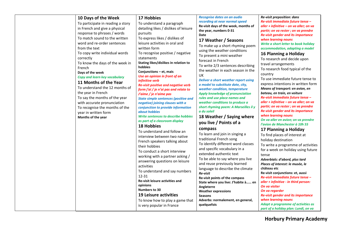| 10 Days of the Week<br>To participate in reading a story<br>in French and give a physical<br>response to phrases / words<br>To match sound to the written<br>word and re-order sentences<br>from the text<br>To copy write individual words<br>correctly<br>To know the days of the week in<br>French<br>Days of the week<br>Copy and learn key vocabulary<br>11 Months of the Year<br>To understand the 12 months of<br>the year in French<br>To say the months of the year<br>with accurate pronunciation<br>To recognise the months of the<br>year in written form<br>Months of the year | 17 Hobbies<br>To understand a paragraph<br>detailing likes / dislikes of leisure<br>pursuits<br>To express likes / dislikes of<br>leisure activities in oral and<br>written form<br>To recognise positive / negative<br>statements<br>Stating likes/dislikes in relation to<br>hobbies<br>Conjunctions - et, mais<br>Use an opinion in front of an<br><i>infinitive</i> verb<br>Re-visit positive and negative verb<br>form j'ai / je n'ai pas and relate to<br>J'aime / je n'aime pas<br><b>State simple sentences (positive and</b><br>negative) joining clauses with a<br>conjunction to provide information<br>about hobbies<br><b>Write sentences to describe hobbies</b><br>as part of a classroom display<br><b>18 Hobbies</b><br>To understand and follow an<br>interview between two native<br>French speakers talking about<br>their hobbies<br>To conduct a short interview<br>working with a partner asking /<br>answering questions on leisure<br>activities<br>To understand and say numbers<br>12-31<br><b>Re-visit leisure activities and</b><br>opinions<br>Numbers to 30<br><b>19 Leisure activities</b><br>To know how to play a game that<br>is very popular in France | Recognise dates on an audio<br>recording at near normal speed<br>Re-visit days of the week, months of<br>the year, numbers 0-31<br>Date<br>17 Weather / Seasons<br>To make up a short rhyming poem<br>using the weather conditions<br>To present a mini weather<br>forecast in French<br>To write 2/3 sentences describing<br>the weather in each season in the<br>UK<br>Deliver a short weather report using<br>a model to substitute date, city,<br>weather condition, temperature<br>Apply knowledge of pronunciation<br>rules and use place names and<br>weather conditions to produce a<br>short rhyming poem: A Marseilles il y<br>a du soleil<br>18 Weather / Saying where<br>you live / Points of a<br>compass<br>To learn and join in singing a<br>traditional French song<br>To identify different word classes<br>and specific vocabulary in a<br>extended authentic text<br>To be able to say where you live<br>and reuse previously learned<br>language to describe the climate<br>Re-visit<br>Re-visit points of the compass<br>State where you live: J'habite à en<br>Angleterre<br><b>Weather expressions</b><br><b>Seasons</b><br>Adverbs: normalement, en general,<br>quelquefois | Re-visit preposition: dans<br>Re-visit immediate future tense -<br>aller + infinitive - on va aller; on va<br>partir; on va rester ; on va prendre<br><b>Re-visit gender and its importance</b><br>when learning nouns<br>Write a short letter to book holiday<br>accommodation, adapting a model<br>16 Planning a Holiday<br>To research and decide upon<br>travel arrangements<br>To research food typical of the<br>country<br>To use immediate future tense to<br>express intentions in written form<br>Means of transport: en avion, en<br>bateau, en train, en voiture<br>Re-visit immediate future tense -<br>aller + infinitive - on va aller; on va<br>partir; on va rester ; on va prendre<br><b>Re-visit gender and its importance</b><br>when learning nouns<br>On va aller en avion; on va prendre<br>l'avion de Manchester à 10h 55<br>17 Planning a Holiday<br>To find places of interest at<br>holiday destination<br>To write a programme of activities<br>for a week on holiday using future<br>tense<br>Adverbials: d'abord, plus tard<br>Places of interest: le musée, le<br>château etc<br>Re-visit conjunctions: et, aussi<br>Re-visit immediate future tense -<br>aller + infinitive - in third person:<br>On va visiter<br>On va regarder<br><b>Re-visit gender and its importance</b><br>when learning nouns<br>Adapt a programme of activities as<br>part of a holiday plan: Lundi, on va |
|---------------------------------------------------------------------------------------------------------------------------------------------------------------------------------------------------------------------------------------------------------------------------------------------------------------------------------------------------------------------------------------------------------------------------------------------------------------------------------------------------------------------------------------------------------------------------------------------|--------------------------------------------------------------------------------------------------------------------------------------------------------------------------------------------------------------------------------------------------------------------------------------------------------------------------------------------------------------------------------------------------------------------------------------------------------------------------------------------------------------------------------------------------------------------------------------------------------------------------------------------------------------------------------------------------------------------------------------------------------------------------------------------------------------------------------------------------------------------------------------------------------------------------------------------------------------------------------------------------------------------------------------------------------------------------------------------------------------------------------------------------------------------------------------------|-----------------------------------------------------------------------------------------------------------------------------------------------------------------------------------------------------------------------------------------------------------------------------------------------------------------------------------------------------------------------------------------------------------------------------------------------------------------------------------------------------------------------------------------------------------------------------------------------------------------------------------------------------------------------------------------------------------------------------------------------------------------------------------------------------------------------------------------------------------------------------------------------------------------------------------------------------------------------------------------------------------------------------------------------------------------------------------------------------------------------------------------------------------------------------------------------------|---------------------------------------------------------------------------------------------------------------------------------------------------------------------------------------------------------------------------------------------------------------------------------------------------------------------------------------------------------------------------------------------------------------------------------------------------------------------------------------------------------------------------------------------------------------------------------------------------------------------------------------------------------------------------------------------------------------------------------------------------------------------------------------------------------------------------------------------------------------------------------------------------------------------------------------------------------------------------------------------------------------------------------------------------------------------------------------------------------------------------------------------------------------------------------------------------------------------------------------------------------------------------------------------------------------------------------------------------------------------------------------------------------------------|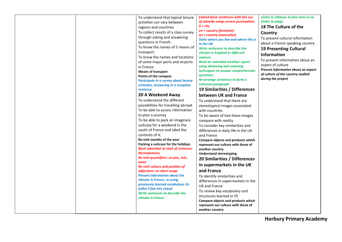| To understand that typical leisure<br>activities can vary between<br>regions and countries<br>To collect results of a class survey<br>through asking and answering<br>questions in French.<br>To know the names of 5 means of<br>transport.<br>To know the names and locations<br>of some major ports and airports<br>in France.<br><b>Means of transport</b><br>Points of the compass<br>Participate in a survey about leisure<br>activities, answering in a complete<br>sentence<br>20 A Weekend Away<br>To understand the different<br>possibilities for travelling abroad<br>To be able to access information<br>to plan a journey<br>To be able to pack an imaginary<br>suitcase for a weekend in the<br>south of France and label the<br>contents of it.<br>Re-visit months of the year<br>Packing a suitcase for the holidays<br><b>Basic adverbial at start of sentence:</b><br>Normalement,<br>Re-visit quantifiers: un peu, très,<br>assez<br><b>Re-visit colours and position of</b><br>adjectives: un short rouge<br><b>Present information about the</b><br>climate in France, re-using<br>previously learned vocabulary: En<br>juillet il fait très chaud<br>Write sentences to describe the<br>climate in France | <b>Extend basic sentences with the use</b><br>visiter le château et plus tard on va<br>visiter la plage.<br>of adverbs using correct punctuation<br>$\dot{a}$ + city<br>18 The Culture of the<br>en + country (feminine)<br>Country<br>au + country (masculine)<br>To present cultural information<br>State where you live and where this is<br>about a French speaking country<br>in the UK<br>Write sentences to describe the<br><b>19 Presenting Cultural</b><br>climate in England in different<br><b>Information</b><br>seasons<br>To present information about an<br>Read an extended weather report<br>aspect of culture<br>using skimming and scanning<br>Present information about an aspect<br>techniques to answer comprehension<br>of culture of the country studied<br>questions<br>during the project<br>Re-arrange sentences to form a<br>coherent paragraph<br>19 Similarities / Differences<br>between UK and France<br>To understand that there are<br>stereotypical images associated<br>with countries<br>To be aware of hoe these images<br>compare with reality<br>To consider key similarities and<br>differences in daily life in the UK<br>and France<br>Compare objects and products which<br>represent our culture with those of<br>another country<br><b>Understand stereotyping</b><br>20 Similarities / Differences<br>in supermarkets in the UK<br>and France<br>To identify similarities and<br>differences in supermarkets in the<br><b>UK and France</b><br>To review key vocabulary and<br>structures learned in Y5<br>Compare objects and products which<br>represent our culture with those of<br>another country |
|---------------------------------------------------------------------------------------------------------------------------------------------------------------------------------------------------------------------------------------------------------------------------------------------------------------------------------------------------------------------------------------------------------------------------------------------------------------------------------------------------------------------------------------------------------------------------------------------------------------------------------------------------------------------------------------------------------------------------------------------------------------------------------------------------------------------------------------------------------------------------------------------------------------------------------------------------------------------------------------------------------------------------------------------------------------------------------------------------------------------------------------------------------------------------------------------------------------------------------|--------------------------------------------------------------------------------------------------------------------------------------------------------------------------------------------------------------------------------------------------------------------------------------------------------------------------------------------------------------------------------------------------------------------------------------------------------------------------------------------------------------------------------------------------------------------------------------------------------------------------------------------------------------------------------------------------------------------------------------------------------------------------------------------------------------------------------------------------------------------------------------------------------------------------------------------------------------------------------------------------------------------------------------------------------------------------------------------------------------------------------------------------------------------------------------------------------------------------------------------------------------------------------------------------------------------------------------------------------------------------------------------------------------------------------------------------------------------------------------------------------------------------------------------------------------------------------------------------------------------------------------------------------|
|---------------------------------------------------------------------------------------------------------------------------------------------------------------------------------------------------------------------------------------------------------------------------------------------------------------------------------------------------------------------------------------------------------------------------------------------------------------------------------------------------------------------------------------------------------------------------------------------------------------------------------------------------------------------------------------------------------------------------------------------------------------------------------------------------------------------------------------------------------------------------------------------------------------------------------------------------------------------------------------------------------------------------------------------------------------------------------------------------------------------------------------------------------------------------------------------------------------------------------|--------------------------------------------------------------------------------------------------------------------------------------------------------------------------------------------------------------------------------------------------------------------------------------------------------------------------------------------------------------------------------------------------------------------------------------------------------------------------------------------------------------------------------------------------------------------------------------------------------------------------------------------------------------------------------------------------------------------------------------------------------------------------------------------------------------------------------------------------------------------------------------------------------------------------------------------------------------------------------------------------------------------------------------------------------------------------------------------------------------------------------------------------------------------------------------------------------------------------------------------------------------------------------------------------------------------------------------------------------------------------------------------------------------------------------------------------------------------------------------------------------------------------------------------------------------------------------------------------------------------------------------------------------|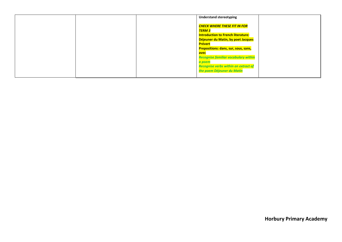|  | <b>Understand stereotyping</b>              |
|--|---------------------------------------------|
|  |                                             |
|  | CHECK WHERE THESE FIT IN FOR                |
|  | <b>TERM 3</b>                               |
|  | <b>Introduction to French literature:</b>   |
|  | Déjeuner du Matin, by poet Jacques          |
|  | Prévert                                     |
|  | <b>Prepositions: dans, sur, sous, sans,</b> |
|  | avec                                        |
|  | <b>Recognise familiar vocabulary within</b> |
|  | a poem                                      |
|  | <b>Recognise verbs within an extract of</b> |
|  | the poem Déjeuner du Matin                  |
|  |                                             |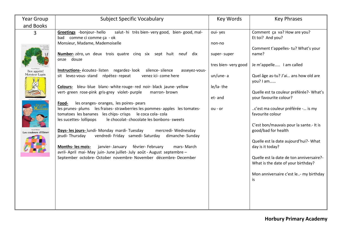| Year Group           | <b>Subject Specific Vocabulary</b>                                                                                                                                                                              | Key Words                           | <b>Key Phrases</b>                                                             |
|----------------------|-----------------------------------------------------------------------------------------------------------------------------------------------------------------------------------------------------------------|-------------------------------------|--------------------------------------------------------------------------------|
| and Books            |                                                                                                                                                                                                                 |                                     |                                                                                |
| 3                    | Greetings -bonjour- hello<br>salut- hi très bien- very good, bien- good, mal-<br>bad comme ci comme ça - ok                                                                                                     | oui-yes                             | Comment ça va? How are you?<br>Et toi? And you?                                |
| La chemili           | Monsieur, Madame, Mademoiselle                                                                                                                                                                                  | non-no                              | Comment t'appelles-tu? What's your                                             |
|                      | Number-zéro, un deux trois quatre cinq six sept huit neuf<br>dix<br>onze douze                                                                                                                                  | super-super<br>tres bien- very good | name?<br>Je m'appelle I am called                                              |
| Bon appétit!         | Instructions-écoutez-listen regardez-look silence-silence<br>asseyez-vous-                                                                                                                                      |                                     |                                                                                |
| Monsieur Lapin       | sit levez-vous- stand répétez- repeat<br>venez ici- come here                                                                                                                                                   | un/une-a                            | Quel âge as-tu? J'ai ans how old are<br>you? I am                              |
|                      | Colours- bleu- blue blanc- white rouge- red noir- black jaune- yellow<br>vert-green rose-pink gris-grey violet-purple<br>marron-brown                                                                           | le/la-the                           | Quelle est ta couleur préférée?- What's                                        |
|                      | les oranges- oranges, les poires- pears<br>Food-                                                                                                                                                                | et-and                              | your favourite colour?                                                         |
|                      | les prunes- plums les fraises- strawberries les pommes- apples les tomates-<br>tomatoes les bananes les chips- crisps le coca cola- cola<br>les sucettes- lollipops<br>le chocolat-chocolate les bonbons-sweets | $ou - or$                           | c'est ma couleur préférée - is my<br>favourite colour                          |
| Les couleurs d'Elmer | Days- les jours- lundi- Monday mardi- Tuesday<br>mercredi- Wednesday                                                                                                                                            |                                     | C'est bon/mauvais pour la sante.- It is<br>good/bad for health                 |
|                      | jeudi-Thursday<br>vendredi- Friday samedi- Saturday<br>dimanche-Sunday                                                                                                                                          |                                     | Quelle est la date aujourd'hui?- What                                          |
|                      | <b>Months- les mois-</b><br>janvier-January février-February<br>mars-March<br>avril- April mai- May juin- June juillet- July août - August septembre -                                                          |                                     | day is it today?                                                               |
|                      | September octobre-October novembre-November décembre-December                                                                                                                                                   |                                     | Quelle est la date de ton anniversaire?-<br>What is the date of your birthday? |
|                      |                                                                                                                                                                                                                 |                                     | Mon anniversaire c'est le- my birthday<br>is                                   |
|                      |                                                                                                                                                                                                                 |                                     |                                                                                |
|                      |                                                                                                                                                                                                                 |                                     |                                                                                |
|                      |                                                                                                                                                                                                                 |                                     |                                                                                |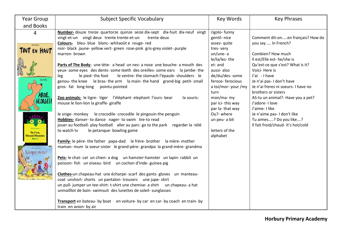| <b>Year Group</b>                                          | <b>Subject Specific Vocabulary</b>                                                                                                                                                                                                                                                                                                                                                                                                                                                                                                                                                                                                                                                                                                                                                                                                                                                                                                                      | Key Words                                                                                                                                                                                                          | <b>Key Phrases</b>                                                                                                                                                                                                                                                                                                                  |
|------------------------------------------------------------|---------------------------------------------------------------------------------------------------------------------------------------------------------------------------------------------------------------------------------------------------------------------------------------------------------------------------------------------------------------------------------------------------------------------------------------------------------------------------------------------------------------------------------------------------------------------------------------------------------------------------------------------------------------------------------------------------------------------------------------------------------------------------------------------------------------------------------------------------------------------------------------------------------------------------------------------------------|--------------------------------------------------------------------------------------------------------------------------------------------------------------------------------------------------------------------|-------------------------------------------------------------------------------------------------------------------------------------------------------------------------------------------------------------------------------------------------------------------------------------------------------------------------------------|
|                                                            |                                                                                                                                                                                                                                                                                                                                                                                                                                                                                                                                                                                                                                                                                                                                                                                                                                                                                                                                                         |                                                                                                                                                                                                                    |                                                                                                                                                                                                                                                                                                                                     |
| and Books<br>EN HAUT<br>alon Feiffer<br>ABOIE,<br>GEORGES! | Number- douze treize quartorze quinze seize dix-sept dix-huit dix-neuf vingt<br>vingt-et-un vingt deux trente trente-et-un<br>trente deux<br>Colours- bleu-blue blanc-whitaoût e rouge-red<br>noir- black jaune- yellow vert- green rose-pink gris-grey violet- purple<br>marron-brown<br>Parts of The Body- une tète- a head un nez- a nose une bouche- a mouth des<br>yeux- some eyes des dents- some teeth des oreilles- some ears la jambe- the<br>le pied-the foot<br>le ventre-the stomach l'épaule-shoulders le<br>leg<br>genou-the knee le bras-the arm la main-the hand grand-big petit-small<br>gros- fat long-long<br>pointu-pointed<br>Zoo animals- le tigre- tiger l'éléphant- elephant l'ours- bear<br>la souris-<br>mouse le lion-lion la giraffe- giraffe                                                                                                                                                                               | rigolo-funny<br>gentil-nice<br>assez- quite<br>tres-very<br>un/une-a<br>le/la/les-the<br>et-and<br>aussi-also<br>de/du/des-some<br>feroce-ferocious<br>a toi/mor-your/my<br>turn<br>mon/ma- my<br>par ici-this way | Comment dit-onen français? How do<br>you say  In French?<br>Combien? How much<br>Il est/Elle est- he/she is<br>Qu'est-ce que s'est? What is it?<br>Voici-Here is<br>J'ai - I have<br>Je n'ai pas- I don't have<br>Je n'ai freres ni soeurs- I have no<br>brothers or sisters<br>AS-tu un animal?- Have you a pet?<br>J'adore-I love |
| Va-t'en,<br>rand Monstre<br>Vert!<br>Loupy es-tu?          | le singe- monkey le crocodile- crocodile le pingouin-the penguin<br>Hobbies- danser- to dance nager- to swim lire-to read<br>jouer au football- play football aller au parc- go to the park regarder la-télé<br>to watch tv<br>le petanque- bowling game<br>Family-le père-the father papa-dad le frère-brother la mère-mother<br>maman- mum la soeur-sister le grand-père- grandpa la grand-mère- grandma<br>Pets- le chat- cat un chien- a dog un hamster-hamster un lapin- rabbit un<br>poisson- fish un oiseau- bird un cochon d'Inde- guinea pig<br>Clothes-un chapeau-hat une écharpe- scarf des gants- gloves un manteau-<br>coat unshort-shorts un pantalon-trousers une jupe-skirt<br>un pull-jumper un tee-shirt-t-shirt une chemise- a shirt un chapeau- a hat<br>unmailllot de bain- swimsuit des lunettes de soleil- sunglasses<br>Transport en bateau- by boat en voiture- by car en car- by coach en train- by<br>train en avion- by air | par la-that way<br>Ou?- where<br>un peu- a bit<br>letters of the<br>alphabet                                                                                                                                       | J'aime-Ilike<br>Je n'aime pas- I don't like<br>Tu aimes? Do you like?<br>Il fait froid/chaud- It's hot/cold                                                                                                                                                                                                                         |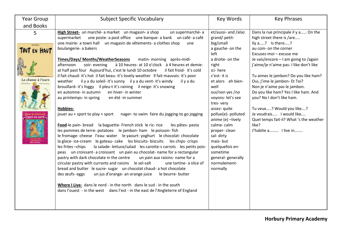| <b>Year Group</b><br>and Books                    | <b>Subject Specific Vocabulary</b>                                                                                                                                                                                                                                                                                                                                                                                                                                                                                                                                                                                                                                                                                                                                                                                                                                                                                                                                                                                                                                                                                                                                                                                                                                                                                                                                                                                                                                                                                                                                                                                                                                                                                                                                                                                                                                                                                 | Key Words                                                                                                                                                                                                                                                                                                                                                                                                                | <b>Key Phrases</b>                                                                                                                                                                                                                                                                                                                                                                                                                                                                                                                               |
|---------------------------------------------------|--------------------------------------------------------------------------------------------------------------------------------------------------------------------------------------------------------------------------------------------------------------------------------------------------------------------------------------------------------------------------------------------------------------------------------------------------------------------------------------------------------------------------------------------------------------------------------------------------------------------------------------------------------------------------------------------------------------------------------------------------------------------------------------------------------------------------------------------------------------------------------------------------------------------------------------------------------------------------------------------------------------------------------------------------------------------------------------------------------------------------------------------------------------------------------------------------------------------------------------------------------------------------------------------------------------------------------------------------------------------------------------------------------------------------------------------------------------------------------------------------------------------------------------------------------------------------------------------------------------------------------------------------------------------------------------------------------------------------------------------------------------------------------------------------------------------------------------------------------------------------------------------------------------------|--------------------------------------------------------------------------------------------------------------------------------------------------------------------------------------------------------------------------------------------------------------------------------------------------------------------------------------------------------------------------------------------------------------------------|--------------------------------------------------------------------------------------------------------------------------------------------------------------------------------------------------------------------------------------------------------------------------------------------------------------------------------------------------------------------------------------------------------------------------------------------------------------------------------------------------------------------------------------------------|
| 5<br>Mario Ramos<br>EN HAVI<br>La chasse à l'ours | High Street- un marché- a market un magasin- a shop<br>un supermarché-a<br>une poste- a post office une banque- a bank un café- a café<br>supermarket<br>une mairie- a town hall un magasin de vêtements- a clothes shop<br>une<br>boulangerie- a bakers<br>Times/Days/ Months/WeatherSeasons<br>matin-morning après-midi-<br>soir-evening<br>à 10 heures- at 10 o'clock à 4 heures et demie-<br>afternoon<br>at half past four Aujourd'hui, c'est le lundi 10 octobre<br>il fait froid- it's cold<br>il fait chaud- it's hot il fait beau- it's lovely weather Il fait mauvais- it's poor<br>il y a du soleil- it's sunny il y a du vent- it's windy<br>weather<br>il y a du<br>brouillard- it's foggy il pleu-t it's raining il neige- it's snowing<br>en hiver- in winter<br>en automne- in autumn<br>au printemps- in spring<br>en été -in summer<br>Hobbies-<br>jouer au + sport to play + sport<br>nager- to swim faire du jogging-to go jogging<br>Food-le pain- bread la baguette- French stick le riz- rice<br>les pâtes- pasta<br>les pommes de terre- potatoes le jambon- ham le poisson- fish<br>le fromage-cheese l'eau-water le yaourt-yoghurt le chocolat-chocolate<br>la glace-ice-cream le gateau-cake les biscuits-biscuits les chips-crisps<br>la salade-lettuce/salad les carotte-s carrots les petits pois-<br>les frites - chips<br>peas un croissant- a croissant un pain au chocolat- name for a rectangular<br>pastry with dark chocolate in the centre<br>un pain aux raisins- name for a<br>circular pastry with currants and raisins le sel-salt<br>une tartine- a slice of<br>bread and butter le sucre-sugar un chocolat chaud- a hot chocolate<br>un jus d'orange- an orange juice<br>des œufs- eggs<br>le beurre- butter<br>Where I Live- dans le nord - in the north dans le sud - in the south<br>dans l'ouest - in the west dans l'est - in the east de l'Angleterre of England | et/aussi- and /also<br>grand/petit-<br>big/small<br>a gauche- on the<br>left<br>a droite- on the<br>right<br>ici-here<br>c'est-it is<br>et alors eh bien-<br>well<br>oui/non yes /no<br>voyons-let's see<br>tres-very<br>assez- quite<br>pollue(e)- polluted<br>anime (e) -lively<br>calme-calm<br>proper-clean<br>sal-dirty<br>mais-but<br>quelquefois en-<br>sometime<br>general-generally<br>normalement-<br>normally | Dans la rue principale il y a On the<br>high street there is /are<br>Ily a? Is there?<br>au coin- on the corner<br>Excusez-moi - excuse me<br>Je vais/encore - I am going to /again<br>j'aime/je n'aime pas- I like don't like<br>Tu aimes le jambon? Do you like ham?<br>Oui, j'ime le jambon- Et Toi?<br>Non je n'aime pas le jambon.<br>Do you like ham? Yes I like ham. And<br>you? No I don't like ham.<br>Tu veux? Would you like?<br>Je voudrais I would like<br>Quel temps fait-il? What 's the weather<br>like?<br>J'habite a I live in |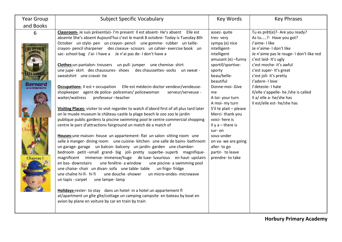| <b>Year Group</b><br>and Books        | <b>Subject Specific Vocabulary</b>                                                                                                                                                                                                                                                                                                                                                                                                                                                                                                                                                                                                                                                                                                                                                                                                                                                                                                                                                                                                                                                                                                                                                                                                                                                                                                                                                                                                                                                                                                                                                                                                                                                                                                                                                                                                                                                                                                                                | Key Words                                                                                                                                                                                                                                                                                                                                                                                                               | <b>Key Phrases</b>                                                                                                                                                                                                                                                                                                                                                                              |
|---------------------------------------|-------------------------------------------------------------------------------------------------------------------------------------------------------------------------------------------------------------------------------------------------------------------------------------------------------------------------------------------------------------------------------------------------------------------------------------------------------------------------------------------------------------------------------------------------------------------------------------------------------------------------------------------------------------------------------------------------------------------------------------------------------------------------------------------------------------------------------------------------------------------------------------------------------------------------------------------------------------------------------------------------------------------------------------------------------------------------------------------------------------------------------------------------------------------------------------------------------------------------------------------------------------------------------------------------------------------------------------------------------------------------------------------------------------------------------------------------------------------------------------------------------------------------------------------------------------------------------------------------------------------------------------------------------------------------------------------------------------------------------------------------------------------------------------------------------------------------------------------------------------------------------------------------------------------------------------------------------------------|-------------------------------------------------------------------------------------------------------------------------------------------------------------------------------------------------------------------------------------------------------------------------------------------------------------------------------------------------------------------------------------------------------------------------|-------------------------------------------------------------------------------------------------------------------------------------------------------------------------------------------------------------------------------------------------------------------------------------------------------------------------------------------------------------------------------------------------|
| 6<br><b>MBR</b><br>Bernoro<br>Chapeau | Classroom- Je suis présent(e)- I'm present Il est absent-He's absent Elle est<br>absente She's absent Aujourd'hui c'est le mardi 8 octobre- Today is Tuesday 8th<br>October un stylo- pen un crayon- pencil une gomme- rubber un taille-<br>crayon- pencil sharpener des ciseaux- scissors un cahier- exercise book un<br>sac-school bag J'ai-I have a Jen'ai pas de-I don't have a<br>Clothes-un pantalon-trousers un pull-jumper une chemise-shirt<br>une jupe- skirt des chaussures- shoes des chaussettes- socks un sweat -<br>sweatshirt une cravat-tie<br><b>Occupations-</b> Il est + occupation Elle est médecin doctor vendeur/vendeuse-<br>shopkeeper agent de police-policeman/policewoman<br>serveur/serveuse -<br>waiter/waitress<br>professeur-teacher<br>Visiting Places- visiter to visit regarder to watch d'abord first of all plus tard later<br>on le musée museum le château castle la plage beach le zoo zoo le jardin<br>publique public gardens la piscine swimming pool le centre commercial shopping<br>centre le parc d'attractions fairground un match de a match of<br>Houses-une maison- house un appartement- flat un salon- sitting room une<br>salle à manger-dining room une cuisine-kitchen une salle de bains-bathroom<br>un garage-garage un balcon-balcony un jardin-garden une chamber-<br>bedroom petit-small grand- big joli- pretty superbe-superb magnifique-<br>magnificent immense-immense/huge de luxe-luxurious en haut-upstairs<br>une fenêtre- a window<br>en bas- downstairs<br>une piscine- a swimming pool<br>une chaise-chair un divan-sofa une table-table<br>un frigo-fridge<br>une douche -shower<br>un micro-ondes- microwave<br>une chaîne hi-fi- hi fi<br>un tapis - carpet une lampe-lamp<br>Holidays-rester- to stay dans un hotel- in a hotel un appartement fl<br>at/apartment un gîte gîte/cottage un camping campsite en bateau by boat en<br>avion by plane en voiture by car en train by train | assez- quite<br>tres-very<br>sympa (e) nice<br>intelligent-<br>intelligent<br>amusant (e) -funny<br>sportif/sportive-<br>sporty<br>beau/belle-<br>beautiful<br>Donne-moi- Give<br>me<br>A toi-your turn<br>A moi- my turn<br>S'il te plait $-$ please<br>Merci-thank you<br>voici- here is<br>Il y $a$ – there is<br>sur-on<br>sous-under<br>on va- we are going<br>aller-to go<br>partir- to leave<br>prendre- to take | Tu es prêt(e)? - Are you ready?<br>As tu? Have you got?<br>J'aime-Ilike<br>Je n'aime- I don't like<br>Je n'aime pas le rouge- I don't like red<br>c'est laid-It's ugly<br>c'est moche- it's awful<br>c'est super-It's great<br>c'est joli- it's pretty<br>J'adore-I love<br>J'deteste-I hate<br>Il/elle s'appelle- he /she is called<br>Il a/ elle a- he/she has<br>Il est/elle est- he/she has |